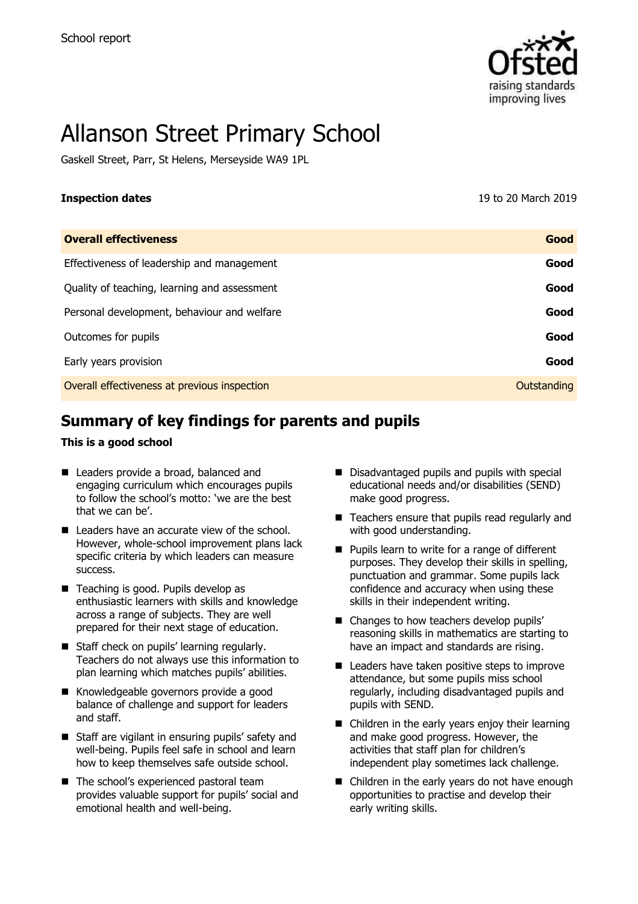

# Allanson Street Primary School

Gaskell Street, Parr, St Helens, Merseyside WA9 1PL

**Inspection dates** 19 to 20 March 2019

| <b>Overall effectiveness</b>                 | Good        |
|----------------------------------------------|-------------|
| Effectiveness of leadership and management   | Good        |
| Quality of teaching, learning and assessment | Good        |
| Personal development, behaviour and welfare  | Good        |
| Outcomes for pupils                          | Good        |
| Early years provision                        | Good        |
| Overall effectiveness at previous inspection | Outstanding |

# **Summary of key findings for parents and pupils**

#### **This is a good school**

- Leaders provide a broad, balanced and engaging curriculum which encourages pupils to follow the school's motto: 'we are the best that we can be'.
- Leaders have an accurate view of the school. However, whole-school improvement plans lack specific criteria by which leaders can measure success.
- Teaching is good. Pupils develop as enthusiastic learners with skills and knowledge across a range of subjects. They are well prepared for their next stage of education.
- Staff check on pupils' learning regularly. Teachers do not always use this information to plan learning which matches pupils' abilities.
- Knowledgeable governors provide a good balance of challenge and support for leaders and staff.
- Staff are vigilant in ensuring pupils' safety and well-being. Pupils feel safe in school and learn how to keep themselves safe outside school.
- The school's experienced pastoral team provides valuable support for pupils' social and emotional health and well-being.
- Disadvantaged pupils and pupils with special educational needs and/or disabilities (SEND) make good progress.
- Teachers ensure that pupils read regularly and with good understanding.
- **Pupils learn to write for a range of different** purposes. They develop their skills in spelling, punctuation and grammar. Some pupils lack confidence and accuracy when using these skills in their independent writing.
- Changes to how teachers develop pupils' reasoning skills in mathematics are starting to have an impact and standards are rising.
- $\blacksquare$  Leaders have taken positive steps to improve attendance, but some pupils miss school regularly, including disadvantaged pupils and pupils with SEND.
- Children in the early years enjoy their learning and make good progress. However, the activities that staff plan for children's independent play sometimes lack challenge.
- Children in the early years do not have enough opportunities to practise and develop their early writing skills.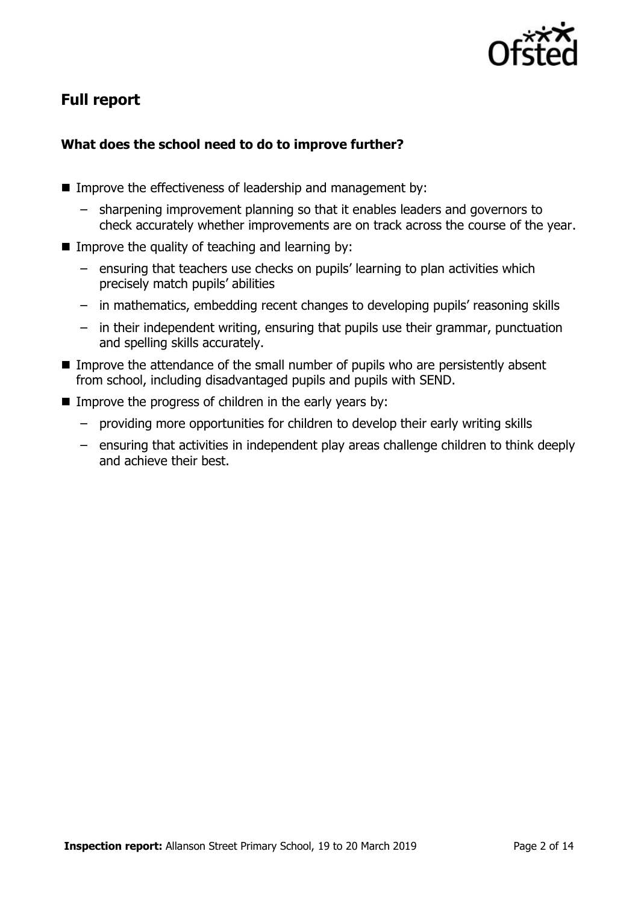

# **Full report**

#### **What does the school need to do to improve further?**

- Improve the effectiveness of leadership and management by:
	- sharpening improvement planning so that it enables leaders and governors to check accurately whether improvements are on track across the course of the year.
- Improve the quality of teaching and learning by:
	- ensuring that teachers use checks on pupils' learning to plan activities which precisely match pupils' abilities
	- in mathematics, embedding recent changes to developing pupils' reasoning skills
	- in their independent writing, ensuring that pupils use their grammar, punctuation and spelling skills accurately.
- Improve the attendance of the small number of pupils who are persistently absent from school, including disadvantaged pupils and pupils with SEND.
- $\blacksquare$  Improve the progress of children in the early years by:
	- providing more opportunities for children to develop their early writing skills
	- ensuring that activities in independent play areas challenge children to think deeply and achieve their best.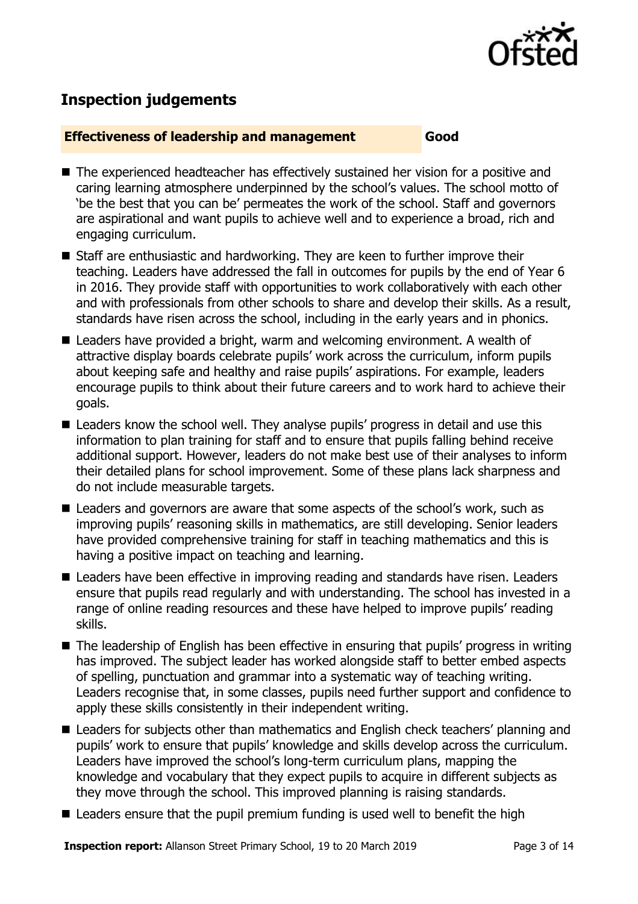

## **Inspection judgements**

#### **Effectiveness of leadership and management Good**

- The experienced headteacher has effectively sustained her vision for a positive and caring learning atmosphere underpinned by the school's values. The school motto of 'be the best that you can be' permeates the work of the school. Staff and governors are aspirational and want pupils to achieve well and to experience a broad, rich and engaging curriculum.
- Staff are enthusiastic and hardworking. They are keen to further improve their teaching. Leaders have addressed the fall in outcomes for pupils by the end of Year 6 in 2016. They provide staff with opportunities to work collaboratively with each other and with professionals from other schools to share and develop their skills. As a result, standards have risen across the school, including in the early years and in phonics.
- Leaders have provided a bright, warm and welcoming environment. A wealth of attractive display boards celebrate pupils' work across the curriculum, inform pupils about keeping safe and healthy and raise pupils' aspirations. For example, leaders encourage pupils to think about their future careers and to work hard to achieve their goals.
- Leaders know the school well. They analyse pupils' progress in detail and use this information to plan training for staff and to ensure that pupils falling behind receive additional support. However, leaders do not make best use of their analyses to inform their detailed plans for school improvement. Some of these plans lack sharpness and do not include measurable targets.
- Leaders and governors are aware that some aspects of the school's work, such as improving pupils' reasoning skills in mathematics, are still developing. Senior leaders have provided comprehensive training for staff in teaching mathematics and this is having a positive impact on teaching and learning.
- Leaders have been effective in improving reading and standards have risen. Leaders ensure that pupils read regularly and with understanding. The school has invested in a range of online reading resources and these have helped to improve pupils' reading skills.
- The leadership of English has been effective in ensuring that pupils' progress in writing has improved. The subject leader has worked alongside staff to better embed aspects of spelling, punctuation and grammar into a systematic way of teaching writing. Leaders recognise that, in some classes, pupils need further support and confidence to apply these skills consistently in their independent writing.
- Leaders for subjects other than mathematics and English check teachers' planning and pupils' work to ensure that pupils' knowledge and skills develop across the curriculum. Leaders have improved the school's long-term curriculum plans, mapping the knowledge and vocabulary that they expect pupils to acquire in different subjects as they move through the school. This improved planning is raising standards.
- Leaders ensure that the pupil premium funding is used well to benefit the high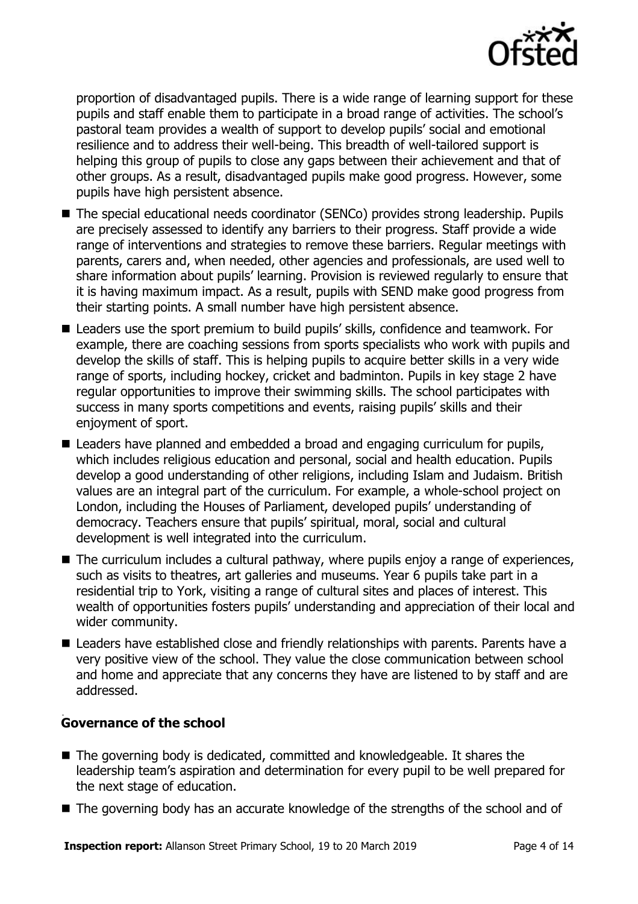

proportion of disadvantaged pupils. There is a wide range of learning support for these pupils and staff enable them to participate in a broad range of activities. The school's pastoral team provides a wealth of support to develop pupils' social and emotional resilience and to address their well-being. This breadth of well-tailored support is helping this group of pupils to close any gaps between their achievement and that of other groups. As a result, disadvantaged pupils make good progress. However, some pupils have high persistent absence.

- The special educational needs coordinator (SENCo) provides strong leadership. Pupils are precisely assessed to identify any barriers to their progress. Staff provide a wide range of interventions and strategies to remove these barriers. Regular meetings with parents, carers and, when needed, other agencies and professionals, are used well to share information about pupils' learning. Provision is reviewed regularly to ensure that it is having maximum impact. As a result, pupils with SEND make good progress from their starting points. A small number have high persistent absence.
- Leaders use the sport premium to build pupils' skills, confidence and teamwork. For example, there are coaching sessions from sports specialists who work with pupils and develop the skills of staff. This is helping pupils to acquire better skills in a very wide range of sports, including hockey, cricket and badminton. Pupils in key stage 2 have regular opportunities to improve their swimming skills. The school participates with success in many sports competitions and events, raising pupils' skills and their enjoyment of sport.
- Leaders have planned and embedded a broad and engaging curriculum for pupils, which includes religious education and personal, social and health education. Pupils develop a good understanding of other religions, including Islam and Judaism. British values are an integral part of the curriculum. For example, a whole-school project on London, including the Houses of Parliament, developed pupils' understanding of democracy. Teachers ensure that pupils' spiritual, moral, social and cultural development is well integrated into the curriculum.
- The curriculum includes a cultural pathway, where pupils enjoy a range of experiences, such as visits to theatres, art galleries and museums. Year 6 pupils take part in a residential trip to York, visiting a range of cultural sites and places of interest. This wealth of opportunities fosters pupils' understanding and appreciation of their local and wider community.
- Leaders have established close and friendly relationships with parents. Parents have a very positive view of the school. They value the close communication between school and home and appreciate that any concerns they have are listened to by staff and are addressed.

#### . **Governance of the school**

- The governing body is dedicated, committed and knowledgeable. It shares the leadership team's aspiration and determination for every pupil to be well prepared for the next stage of education.
- The governing body has an accurate knowledge of the strengths of the school and of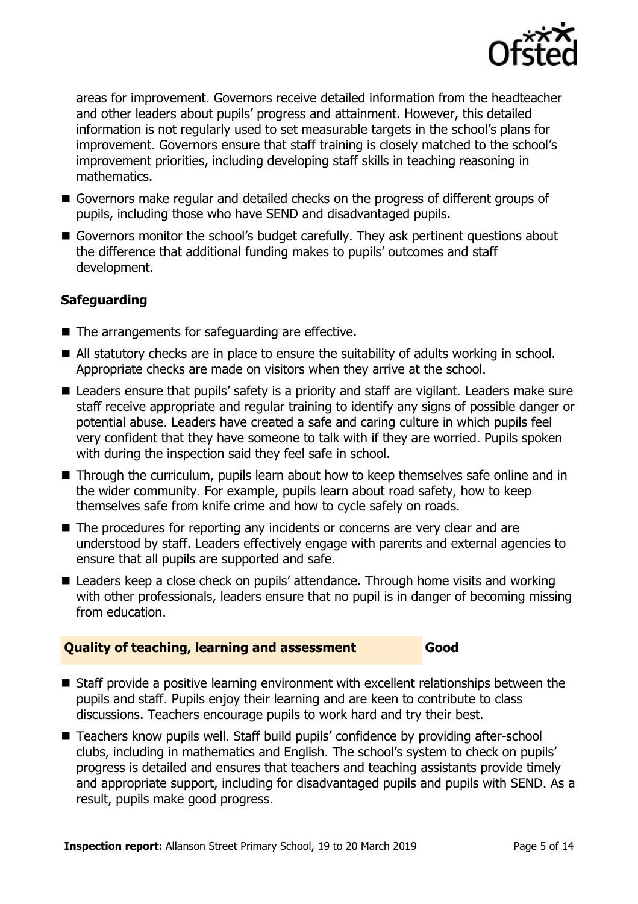

areas for improvement. Governors receive detailed information from the headteacher and other leaders about pupils' progress and attainment. However, this detailed information is not regularly used to set measurable targets in the school's plans for improvement. Governors ensure that staff training is closely matched to the school's improvement priorities, including developing staff skills in teaching reasoning in mathematics.

- Governors make regular and detailed checks on the progress of different groups of pupils, including those who have SEND and disadvantaged pupils.
- Governors monitor the school's budget carefully. They ask pertinent questions about the difference that additional funding makes to pupils' outcomes and staff development.

### **Safeguarding**

- The arrangements for safeguarding are effective.
- All statutory checks are in place to ensure the suitability of adults working in school. Appropriate checks are made on visitors when they arrive at the school.
- Leaders ensure that pupils' safety is a priority and staff are vigilant. Leaders make sure staff receive appropriate and regular training to identify any signs of possible danger or potential abuse. Leaders have created a safe and caring culture in which pupils feel very confident that they have someone to talk with if they are worried. Pupils spoken with during the inspection said they feel safe in school.
- Through the curriculum, pupils learn about how to keep themselves safe online and in the wider community. For example, pupils learn about road safety, how to keep themselves safe from knife crime and how to cycle safely on roads.
- The procedures for reporting any incidents or concerns are very clear and are understood by staff. Leaders effectively engage with parents and external agencies to ensure that all pupils are supported and safe.
- Leaders keep a close check on pupils' attendance. Through home visits and working with other professionals, leaders ensure that no pupil is in danger of becoming missing from education.

#### **Quality of teaching, learning and assessment Good**

- Staff provide a positive learning environment with excellent relationships between the pupils and staff. Pupils enjoy their learning and are keen to contribute to class discussions. Teachers encourage pupils to work hard and try their best.
- Teachers know pupils well. Staff build pupils' confidence by providing after-school clubs, including in mathematics and English. The school's system to check on pupils' progress is detailed and ensures that teachers and teaching assistants provide timely and appropriate support, including for disadvantaged pupils and pupils with SEND. As a result, pupils make good progress.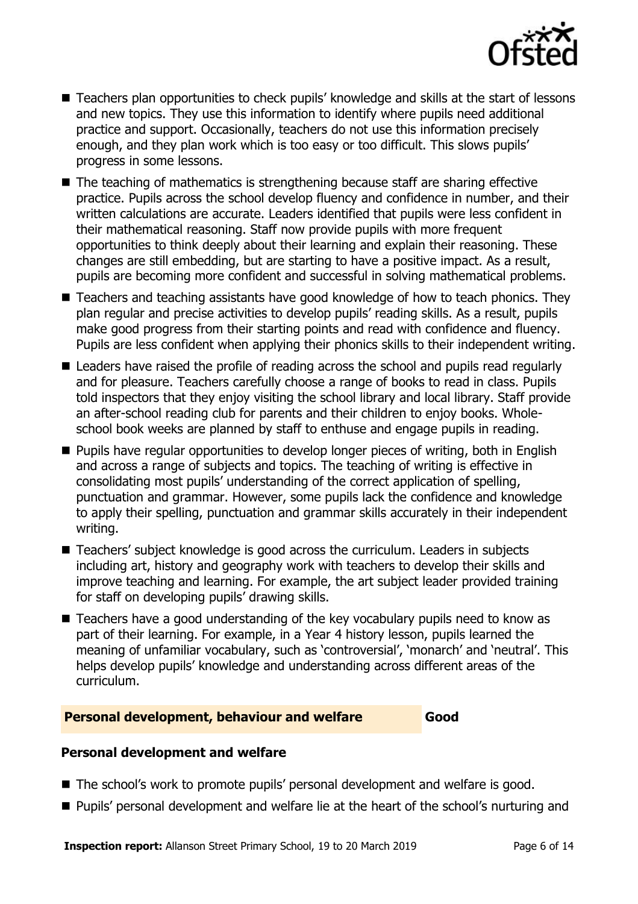

- Teachers plan opportunities to check pupils' knowledge and skills at the start of lessons and new topics. They use this information to identify where pupils need additional practice and support. Occasionally, teachers do not use this information precisely enough, and they plan work which is too easy or too difficult. This slows pupils' progress in some lessons.
- $\blacksquare$  The teaching of mathematics is strengthening because staff are sharing effective practice. Pupils across the school develop fluency and confidence in number, and their written calculations are accurate. Leaders identified that pupils were less confident in their mathematical reasoning. Staff now provide pupils with more frequent opportunities to think deeply about their learning and explain their reasoning. These changes are still embedding, but are starting to have a positive impact. As a result, pupils are becoming more confident and successful in solving mathematical problems.
- Teachers and teaching assistants have good knowledge of how to teach phonics. They plan regular and precise activities to develop pupils' reading skills. As a result, pupils make good progress from their starting points and read with confidence and fluency. Pupils are less confident when applying their phonics skills to their independent writing.
- Leaders have raised the profile of reading across the school and pupils read regularly and for pleasure. Teachers carefully choose a range of books to read in class. Pupils told inspectors that they enjoy visiting the school library and local library. Staff provide an after-school reading club for parents and their children to enjoy books. Wholeschool book weeks are planned by staff to enthuse and engage pupils in reading.
- **Pupils have regular opportunities to develop longer pieces of writing, both in English** and across a range of subjects and topics. The teaching of writing is effective in consolidating most pupils' understanding of the correct application of spelling, punctuation and grammar. However, some pupils lack the confidence and knowledge to apply their spelling, punctuation and grammar skills accurately in their independent writing.
- Teachers' subject knowledge is good across the curriculum. Leaders in subjects including art, history and geography work with teachers to develop their skills and improve teaching and learning. For example, the art subject leader provided training for staff on developing pupils' drawing skills.
- Teachers have a good understanding of the key vocabulary pupils need to know as part of their learning. For example, in a Year 4 history lesson, pupils learned the meaning of unfamiliar vocabulary, such as 'controversial', 'monarch' and 'neutral'. This helps develop pupils' knowledge and understanding across different areas of the curriculum.

#### **Personal development, behaviour and welfare Good**

#### **Personal development and welfare**

- The school's work to promote pupils' personal development and welfare is good.
- **Pupils'** personal development and welfare lie at the heart of the school's nurturing and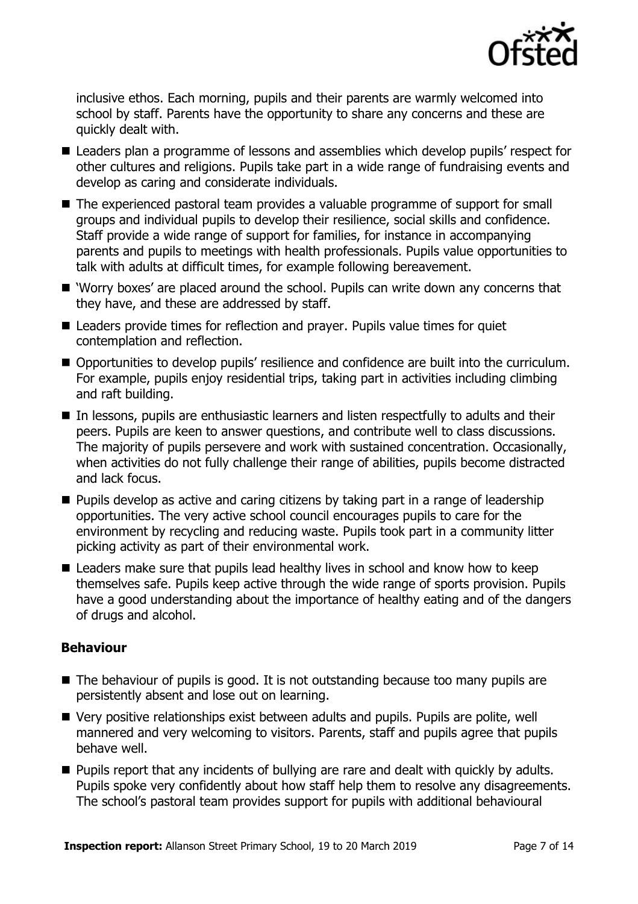

inclusive ethos. Each morning, pupils and their parents are warmly welcomed into school by staff. Parents have the opportunity to share any concerns and these are quickly dealt with.

- Leaders plan a programme of lessons and assemblies which develop pupils' respect for other cultures and religions. Pupils take part in a wide range of fundraising events and develop as caring and considerate individuals.
- The experienced pastoral team provides a valuable programme of support for small groups and individual pupils to develop their resilience, social skills and confidence. Staff provide a wide range of support for families, for instance in accompanying parents and pupils to meetings with health professionals. Pupils value opportunities to talk with adults at difficult times, for example following bereavement.
- 'Worry boxes' are placed around the school. Pupils can write down any concerns that they have, and these are addressed by staff.
- Leaders provide times for reflection and prayer. Pupils value times for quiet contemplation and reflection.
- Opportunities to develop pupils' resilience and confidence are built into the curriculum. For example, pupils enjoy residential trips, taking part in activities including climbing and raft building.
- In lessons, pupils are enthusiastic learners and listen respectfully to adults and their peers. Pupils are keen to answer questions, and contribute well to class discussions. The majority of pupils persevere and work with sustained concentration. Occasionally, when activities do not fully challenge their range of abilities, pupils become distracted and lack focus.
- **Pupils develop as active and caring citizens by taking part in a range of leadership** opportunities. The very active school council encourages pupils to care for the environment by recycling and reducing waste. Pupils took part in a community litter picking activity as part of their environmental work.
- Leaders make sure that pupils lead healthy lives in school and know how to keep themselves safe. Pupils keep active through the wide range of sports provision. Pupils have a good understanding about the importance of healthy eating and of the dangers of drugs and alcohol.

#### **Behaviour**

- $\blacksquare$  The behaviour of pupils is good. It is not outstanding because too many pupils are persistently absent and lose out on learning.
- Very positive relationships exist between adults and pupils. Pupils are polite, well mannered and very welcoming to visitors. Parents, staff and pupils agree that pupils behave well.
- **Pupils report that any incidents of bullying are rare and dealt with quickly by adults.** Pupils spoke very confidently about how staff help them to resolve any disagreements. The school's pastoral team provides support for pupils with additional behavioural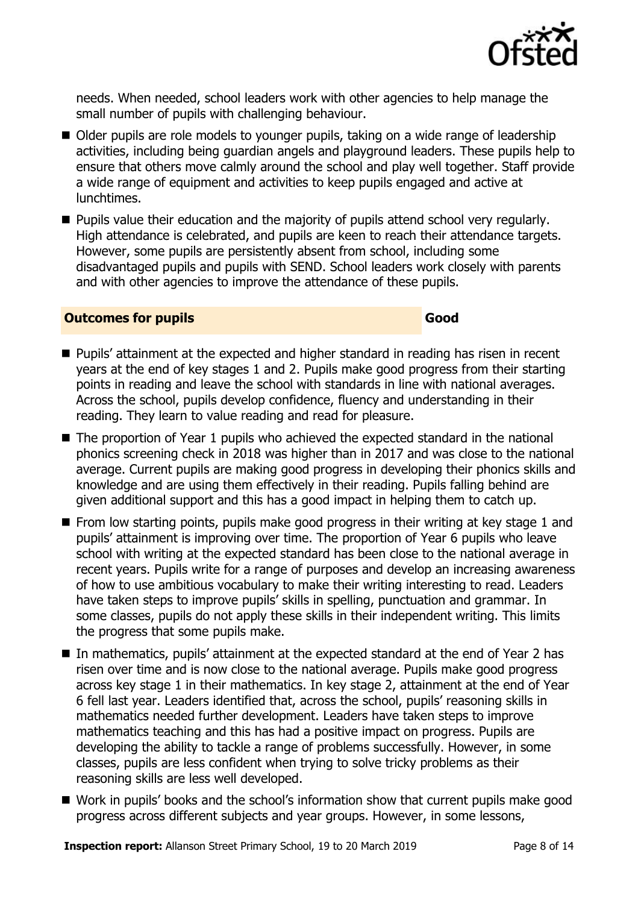

needs. When needed, school leaders work with other agencies to help manage the small number of pupils with challenging behaviour.

- Older pupils are role models to younger pupils, taking on a wide range of leadership activities, including being guardian angels and playground leaders. These pupils help to ensure that others move calmly around the school and play well together. Staff provide a wide range of equipment and activities to keep pupils engaged and active at lunchtimes.
- **Pupils value their education and the majority of pupils attend school very regularly.** High attendance is celebrated, and pupils are keen to reach their attendance targets. However, some pupils are persistently absent from school, including some disadvantaged pupils and pupils with SEND. School leaders work closely with parents and with other agencies to improve the attendance of these pupils.

#### **Outcomes for pupils Good**

- **Pupils' attainment at the expected and higher standard in reading has risen in recent** years at the end of key stages 1 and 2. Pupils make good progress from their starting points in reading and leave the school with standards in line with national averages. Across the school, pupils develop confidence, fluency and understanding in their reading. They learn to value reading and read for pleasure.
- The proportion of Year 1 pupils who achieved the expected standard in the national phonics screening check in 2018 was higher than in 2017 and was close to the national average. Current pupils are making good progress in developing their phonics skills and knowledge and are using them effectively in their reading. Pupils falling behind are given additional support and this has a good impact in helping them to catch up.
- $\blacksquare$  From low starting points, pupils make good progress in their writing at key stage 1 and pupils' attainment is improving over time. The proportion of Year 6 pupils who leave school with writing at the expected standard has been close to the national average in recent years. Pupils write for a range of purposes and develop an increasing awareness of how to use ambitious vocabulary to make their writing interesting to read. Leaders have taken steps to improve pupils' skills in spelling, punctuation and grammar. In some classes, pupils do not apply these skills in their independent writing. This limits the progress that some pupils make.
- In mathematics, pupils' attainment at the expected standard at the end of Year 2 has risen over time and is now close to the national average. Pupils make good progress across key stage 1 in their mathematics. In key stage 2, attainment at the end of Year 6 fell last year. Leaders identified that, across the school, pupils' reasoning skills in mathematics needed further development. Leaders have taken steps to improve mathematics teaching and this has had a positive impact on progress. Pupils are developing the ability to tackle a range of problems successfully. However, in some classes, pupils are less confident when trying to solve tricky problems as their reasoning skills are less well developed.
- Work in pupils' books and the school's information show that current pupils make good progress across different subjects and year groups. However, in some lessons,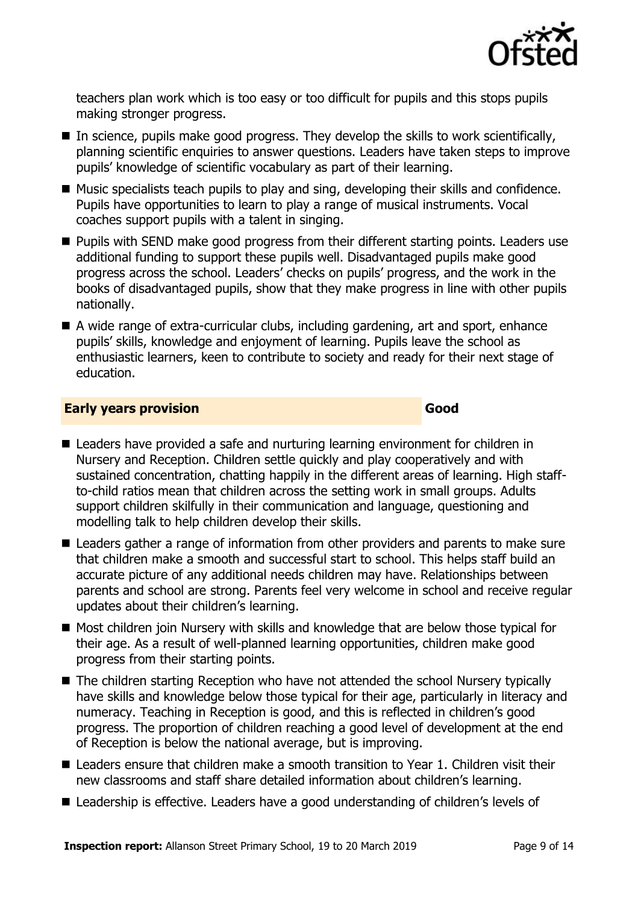

teachers plan work which is too easy or too difficult for pupils and this stops pupils making stronger progress.

- In science, pupils make good progress. They develop the skills to work scientifically, planning scientific enquiries to answer questions. Leaders have taken steps to improve pupils' knowledge of scientific vocabulary as part of their learning.
- Music specialists teach pupils to play and sing, developing their skills and confidence. Pupils have opportunities to learn to play a range of musical instruments. Vocal coaches support pupils with a talent in singing.
- **Pupils with SEND make good progress from their different starting points. Leaders use** additional funding to support these pupils well. Disadvantaged pupils make good progress across the school. Leaders' checks on pupils' progress, and the work in the books of disadvantaged pupils, show that they make progress in line with other pupils nationally.
- A wide range of extra-curricular clubs, including gardening, art and sport, enhance pupils' skills, knowledge and enjoyment of learning. Pupils leave the school as enthusiastic learners, keen to contribute to society and ready for their next stage of education.

#### **Early years provision Good Good**

- Leaders have provided a safe and nurturing learning environment for children in Nursery and Reception. Children settle quickly and play cooperatively and with sustained concentration, chatting happily in the different areas of learning. High staffto-child ratios mean that children across the setting work in small groups. Adults support children skilfully in their communication and language, questioning and modelling talk to help children develop their skills.
- Leaders gather a range of information from other providers and parents to make sure that children make a smooth and successful start to school. This helps staff build an accurate picture of any additional needs children may have. Relationships between parents and school are strong. Parents feel very welcome in school and receive regular updates about their children's learning.
- Most children join Nursery with skills and knowledge that are below those typical for their age. As a result of well-planned learning opportunities, children make good progress from their starting points.
- The children starting Reception who have not attended the school Nursery typically have skills and knowledge below those typical for their age, particularly in literacy and numeracy. Teaching in Reception is good, and this is reflected in children's good progress. The proportion of children reaching a good level of development at the end of Reception is below the national average, but is improving.
- Leaders ensure that children make a smooth transition to Year 1. Children visit their new classrooms and staff share detailed information about children's learning.
- Leadership is effective. Leaders have a good understanding of children's levels of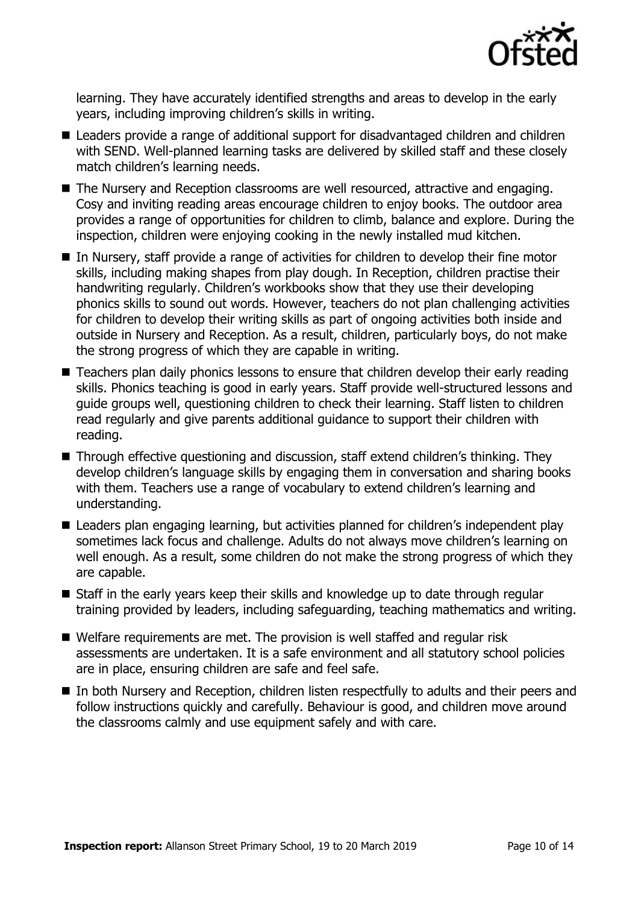

learning. They have accurately identified strengths and areas to develop in the early years, including improving children's skills in writing.

- Leaders provide a range of additional support for disadvantaged children and children with SEND. Well-planned learning tasks are delivered by skilled staff and these closely match children's learning needs.
- The Nursery and Reception classrooms are well resourced, attractive and engaging. Cosy and inviting reading areas encourage children to enjoy books. The outdoor area provides a range of opportunities for children to climb, balance and explore. During the inspection, children were enjoying cooking in the newly installed mud kitchen.
- In Nursery, staff provide a range of activities for children to develop their fine motor skills, including making shapes from play dough. In Reception, children practise their handwriting regularly. Children's workbooks show that they use their developing phonics skills to sound out words. However, teachers do not plan challenging activities for children to develop their writing skills as part of ongoing activities both inside and outside in Nursery and Reception. As a result, children, particularly boys, do not make the strong progress of which they are capable in writing.
- Teachers plan daily phonics lessons to ensure that children develop their early reading skills. Phonics teaching is good in early years. Staff provide well-structured lessons and guide groups well, questioning children to check their learning. Staff listen to children read regularly and give parents additional guidance to support their children with reading.
- Through effective questioning and discussion, staff extend children's thinking. They develop children's language skills by engaging them in conversation and sharing books with them. Teachers use a range of vocabulary to extend children's learning and understanding.
- Leaders plan engaging learning, but activities planned for children's independent play sometimes lack focus and challenge. Adults do not always move children's learning on well enough. As a result, some children do not make the strong progress of which they are capable.
- Staff in the early years keep their skills and knowledge up to date through regular training provided by leaders, including safeguarding, teaching mathematics and writing.
- Welfare requirements are met. The provision is well staffed and regular risk assessments are undertaken. It is a safe environment and all statutory school policies are in place, ensuring children are safe and feel safe.
- In both Nursery and Reception, children listen respectfully to adults and their peers and follow instructions quickly and carefully. Behaviour is good, and children move around the classrooms calmly and use equipment safely and with care.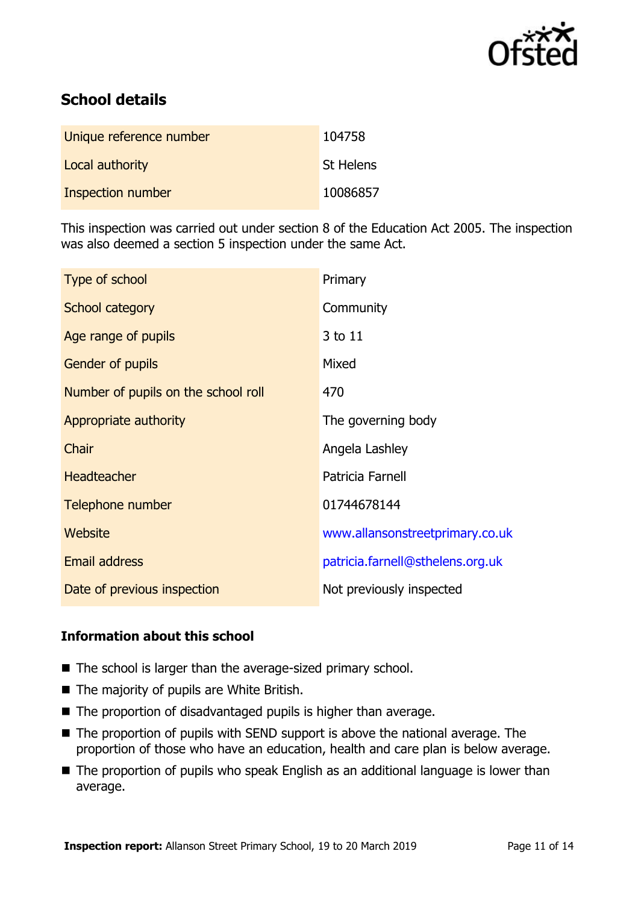

# **School details**

| Unique reference number  | 104758           |
|--------------------------|------------------|
| Local authority          | <b>St Helens</b> |
| <b>Inspection number</b> | 10086857         |

This inspection was carried out under section 8 of the Education Act 2005. The inspection was also deemed a section 5 inspection under the same Act.

| Type of school                      | Primary                          |
|-------------------------------------|----------------------------------|
| School category                     | Community                        |
| Age range of pupils                 | 3 to 11                          |
| Gender of pupils                    | Mixed                            |
| Number of pupils on the school roll | 470                              |
| Appropriate authority               | The governing body               |
| Chair                               | Angela Lashley                   |
| <b>Headteacher</b>                  | Patricia Farnell                 |
| Telephone number                    | 01744678144                      |
| Website                             | www.allansonstreetprimary.co.uk  |
| Email address                       | patricia.farnell@sthelens.org.uk |
| Date of previous inspection         | Not previously inspected         |

### **Information about this school**

- The school is larger than the average-sized primary school.
- The majority of pupils are White British.
- The proportion of disadvantaged pupils is higher than average.
- The proportion of pupils with SEND support is above the national average. The proportion of those who have an education, health and care plan is below average.
- The proportion of pupils who speak English as an additional language is lower than average.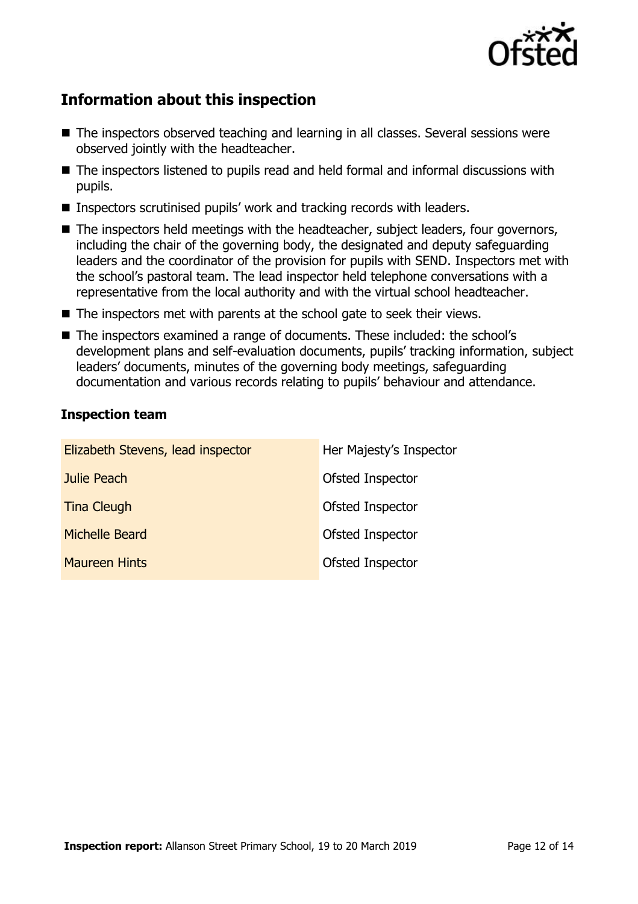

# **Information about this inspection**

- The inspectors observed teaching and learning in all classes. Several sessions were observed jointly with the headteacher.
- The inspectors listened to pupils read and held formal and informal discussions with pupils.
- Inspectors scrutinised pupils' work and tracking records with leaders.
- The inspectors held meetings with the headteacher, subject leaders, four governors, including the chair of the governing body, the designated and deputy safeguarding leaders and the coordinator of the provision for pupils with SEND. Inspectors met with the school's pastoral team. The lead inspector held telephone conversations with a representative from the local authority and with the virtual school headteacher.
- The inspectors met with parents at the school gate to seek their views.
- The inspectors examined a range of documents. These included: the school's development plans and self-evaluation documents, pupils' tracking information, subject leaders' documents, minutes of the governing body meetings, safeguarding documentation and various records relating to pupils' behaviour and attendance.

#### **Inspection team**

| Elizabeth Stevens, lead inspector | Her Majesty's Inspector |
|-----------------------------------|-------------------------|
| Julie Peach                       | Ofsted Inspector        |
| <b>Tina Cleugh</b>                | Ofsted Inspector        |
| <b>Michelle Beard</b>             | Ofsted Inspector        |
| <b>Maureen Hints</b>              | Ofsted Inspector        |